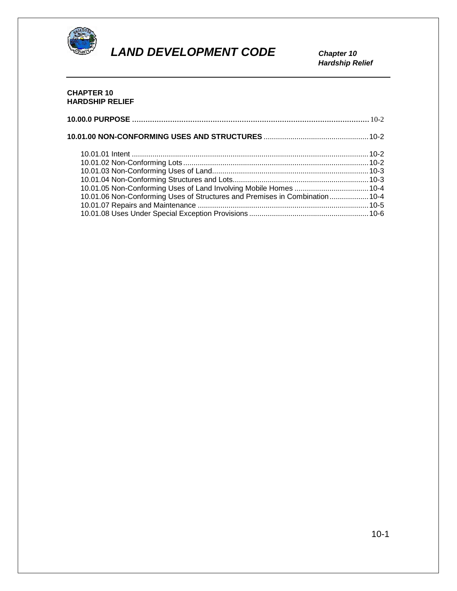

 *Hardship Relief*

## **CHAPTER 10 HARDSHIP RELIEF**

| 10.01.06 Non-Conforming Uses of Structures and Premises in Combination 10-4 |  |
|-----------------------------------------------------------------------------|--|
|                                                                             |  |
|                                                                             |  |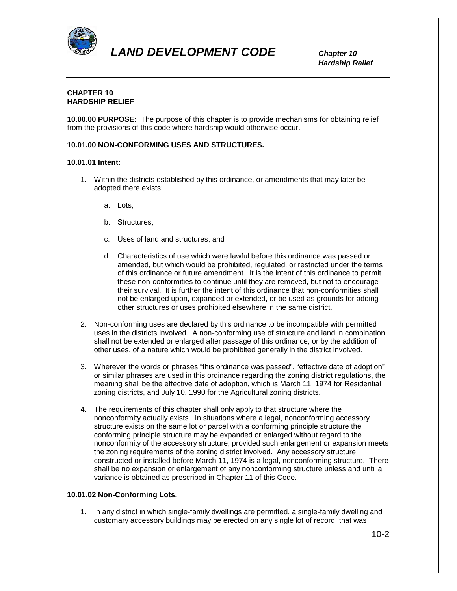

 *Hardship Relief*

### **CHAPTER 10 HARDSHIP RELIEF**

**10.00.00 PURPOSE:** The purpose of this chapter is to provide mechanisms for obtaining relief from the provisions of this code where hardship would otherwise occur.

#### **10.01.00 NON-CONFORMING USES AND STRUCTURES.**

#### **10.01.01 Intent:**

- 1. Within the districts established by this ordinance, or amendments that may later be adopted there exists:
	- a. Lots;
	- b. Structures;
	- c. Uses of land and structures; and
	- d. Characteristics of use which were lawful before this ordinance was passed or amended, but which would be prohibited, regulated, or restricted under the terms of this ordinance or future amendment. It is the intent of this ordinance to permit these non-conformities to continue until they are removed, but not to encourage their survival. It is further the intent of this ordinance that non-conformities shall not be enlarged upon, expanded or extended, or be used as grounds for adding other structures or uses prohibited elsewhere in the same district.
- 2. Non-conforming uses are declared by this ordinance to be incompatible with permitted uses in the districts involved. A non-conforming use of structure and land in combination shall not be extended or enlarged after passage of this ordinance, or by the addition of other uses, of a nature which would be prohibited generally in the district involved.
- 3. Wherever the words or phrases "this ordinance was passed", "effective date of adoption" or similar phrases are used in this ordinance regarding the zoning district regulations, the meaning shall be the effective date of adoption, which is March 11, 1974 for Residential zoning districts, and July 10, 1990 for the Agricultural zoning districts.
- 4. The requirements of this chapter shall only apply to that structure where the nonconformity actually exists. In situations where a legal, nonconforming accessory structure exists on the same lot or parcel with a conforming principle structure the conforming principle structure may be expanded or enlarged without regard to the nonconformity of the accessory structure; provided such enlargement or expansion meets the zoning requirements of the zoning district involved. Any accessory structure constructed or installed before March 11, 1974 is a legal, nonconforming structure. There shall be no expansion or enlargement of any nonconforming structure unless and until a variance is obtained as prescribed in Chapter 11 of this Code.

#### **10.01.02 Non-Conforming Lots.**

1. In any district in which single-family dwellings are permitted, a single-family dwelling and customary accessory buildings may be erected on any single lot of record, that was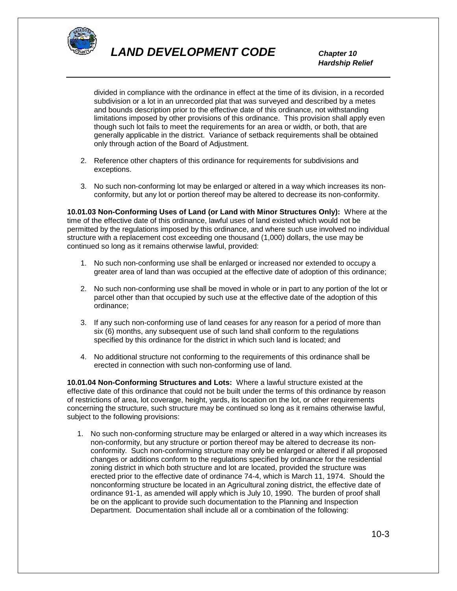

 *Hardship Relief*

divided in compliance with the ordinance in effect at the time of its division, in a recorded subdivision or a lot in an unrecorded plat that was surveyed and described by a metes and bounds description prior to the effective date of this ordinance, not withstanding limitations imposed by other provisions of this ordinance. This provision shall apply even though such lot fails to meet the requirements for an area or width, or both, that are generally applicable in the district. Variance of setback requirements shall be obtained only through action of the Board of Adjustment.

- 2. Reference other chapters of this ordinance for requirements for subdivisions and exceptions.
- 3. No such non-conforming lot may be enlarged or altered in a way which increases its nonconformity, but any lot or portion thereof may be altered to decrease its non-conformity.

**10.01.03 Non-Conforming Uses of Land (or Land with Minor Structures Only):** Where at the time of the effective date of this ordinance, lawful uses of land existed which would not be permitted by the regulations imposed by this ordinance, and where such use involved no individual structure with a replacement cost exceeding one thousand (1,000) dollars, the use may be continued so long as it remains otherwise lawful, provided:

- 1. No such non-conforming use shall be enlarged or increased nor extended to occupy a greater area of land than was occupied at the effective date of adoption of this ordinance;
- 2. No such non-conforming use shall be moved in whole or in part to any portion of the lot or parcel other than that occupied by such use at the effective date of the adoption of this ordinance;
- 3. If any such non-conforming use of land ceases for any reason for a period of more than six (6) months, any subsequent use of such land shall conform to the regulations specified by this ordinance for the district in which such land is located; and
- 4. No additional structure not conforming to the requirements of this ordinance shall be erected in connection with such non-conforming use of land.

**10.01.04 Non-Conforming Structures and Lots:** Where a lawful structure existed at the effective date of this ordinance that could not be built under the terms of this ordinance by reason of restrictions of area, lot coverage, height, yards, its location on the lot, or other requirements concerning the structure, such structure may be continued so long as it remains otherwise lawful, subject to the following provisions:

1. No such non-conforming structure may be enlarged or altered in a way which increases its non-conformity, but any structure or portion thereof may be altered to decrease its nonconformity. Such non-conforming structure may only be enlarged or altered if all proposed changes or additions conform to the regulations specified by ordinance for the residential zoning district in which both structure and lot are located, provided the structure was erected prior to the effective date of ordinance 74-4, which is March 11, 1974. Should the nonconforming structure be located in an Agricultural zoning district, the effective date of ordinance 91-1, as amended will apply which is July 10, 1990. The burden of proof shall be on the applicant to provide such documentation to the Planning and Inspection Department. Documentation shall include all or a combination of the following: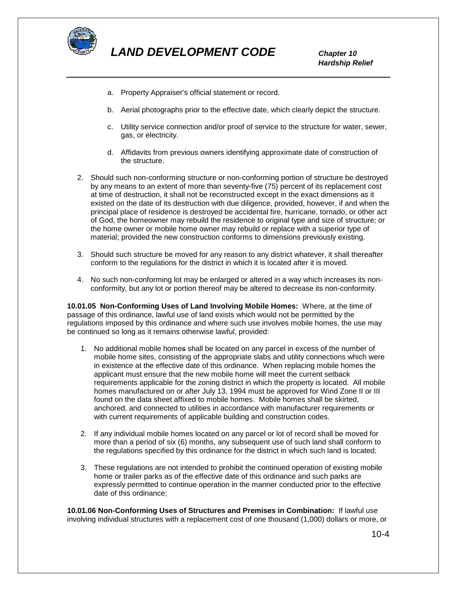

 *Hardship Relief*

- a. Property Appraiser's official statement or record.
- b. Aerial photographs prior to the effective date, which clearly depict the structure.
- c. Utility service connection and/or proof of service to the structure for water, sewer, gas, or electricity.
- d. Affidavits from previous owners identifying approximate date of construction of the structure.
- 2. Should such non-conforming structure or non-conforming portion of structure be destroyed by any means to an extent of more than seventy-five (75) percent of its replacement cost at time of destruction, it shall not be reconstructed except in the exact dimensions as it existed on the date of its destruction with due diligence, provided, however, if and when the principal place of residence is destroyed be accidental fire, hurricane, tornado, or other act of God, the homeowner may rebuild the residence to original type and size of structure; or the home owner or mobile home owner may rebuild or replace with a superior type of material; provided the new construction conforms to dimensions previously existing.
- 3. Should such structure be moved for any reason to any district whatever, it shall thereafter conform to the regulations for the district in which it is located after it is moved.
- 4. No such non-conforming lot may be enlarged or altered in a way which increases its nonconformity, but any lot or portion thereof may be altered to decrease its non-conformity.

**10.01.05 Non-Conforming Uses of Land Involving Mobile Homes:** Where, at the time of passage of this ordinance, lawful use of land exists which would not be permitted by the regulations imposed by this ordinance and where such use involves mobile homes, the use may be continued so long as it remains otherwise lawful, provided:

- 1. No additional mobile homes shall be located on any parcel in excess of the number of mobile home sites, consisting of the appropriate slabs and utility connections which were in existence at the effective date of this ordinance. When replacing mobile homes the applicant must ensure that the new mobile home will meet the current setback requirements applicable for the zoning district in which the property is located. All mobile homes manufactured on or after July 13, 1994 must be approved for Wind Zone II or III found on the data sheet affixed to mobile homes. Mobile homes shall be skirted, anchored, and connected to utilities in accordance with manufacturer requirements or with current requirements of applicable building and construction codes.
- 2. If any individual mobile homes located on any parcel or lot of record shall be moved for more than a period of six (6) months, any subsequent use of such land shall conform to the regulations specified by this ordinance for the district in which such land is located;
- 3. These regulations are not intended to prohibit the continued operation of existing mobile home or trailer parks as of the effective date of this ordinance and such parks are expressly permitted to continue operation in the manner conducted prior to the effective date of this ordinance;

**10.01.06 Non-Conforming Uses of Structures and Premises in Combination:** If lawful use involving individual structures with a replacement cost of one thousand (1,000) dollars or more, or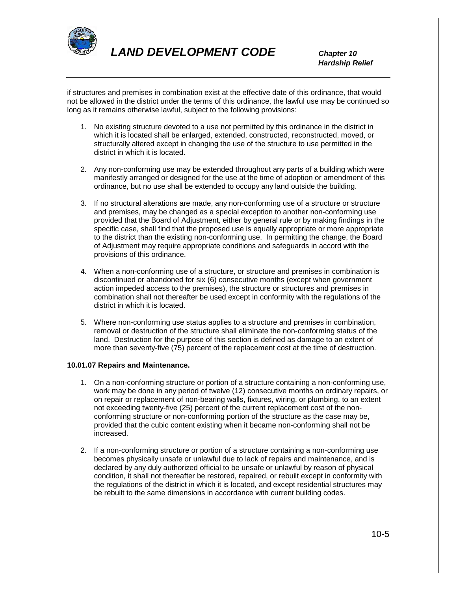

 *Hardship Relief*

if structures and premises in combination exist at the effective date of this ordinance, that would not be allowed in the district under the terms of this ordinance, the lawful use may be continued so long as it remains otherwise lawful, subject to the following provisions:

- 1. No existing structure devoted to a use not permitted by this ordinance in the district in which it is located shall be enlarged, extended, constructed, reconstructed, moved, or structurally altered except in changing the use of the structure to use permitted in the district in which it is located.
- 2. Any non-conforming use may be extended throughout any parts of a building which were manifestly arranged or designed for the use at the time of adoption or amendment of this ordinance, but no use shall be extended to occupy any land outside the building.
- 3. If no structural alterations are made, any non-conforming use of a structure or structure and premises, may be changed as a special exception to another non-conforming use provided that the Board of Adjustment, either by general rule or by making findings in the specific case, shall find that the proposed use is equally appropriate or more appropriate to the district than the existing non-conforming use. In permitting the change, the Board of Adjustment may require appropriate conditions and safeguards in accord with the provisions of this ordinance.
- 4. When a non-conforming use of a structure, or structure and premises in combination is discontinued or abandoned for six (6) consecutive months (except when government action impeded access to the premises), the structure or structures and premises in combination shall not thereafter be used except in conformity with the regulations of the district in which it is located.
- 5. Where non-conforming use status applies to a structure and premises in combination, removal or destruction of the structure shall eliminate the non-conforming status of the land. Destruction for the purpose of this section is defined as damage to an extent of more than seventy-five (75) percent of the replacement cost at the time of destruction.

#### **10.01.07 Repairs and Maintenance.**

- 1. On a non-conforming structure or portion of a structure containing a non-conforming use, work may be done in any period of twelve (12) consecutive months on ordinary repairs, or on repair or replacement of non-bearing walls, fixtures, wiring, or plumbing, to an extent not exceeding twenty-five (25) percent of the current replacement cost of the nonconforming structure or non-conforming portion of the structure as the case may be, provided that the cubic content existing when it became non-conforming shall not be increased.
- 2. If a non-conforming structure or portion of a structure containing a non-conforming use becomes physically unsafe or unlawful due to lack of repairs and maintenance, and is declared by any duly authorized official to be unsafe or unlawful by reason of physical condition, it shall not thereafter be restored, repaired, or rebuilt except in conformity with the regulations of the district in which it is located, and except residential structures may be rebuilt to the same dimensions in accordance with current building codes.